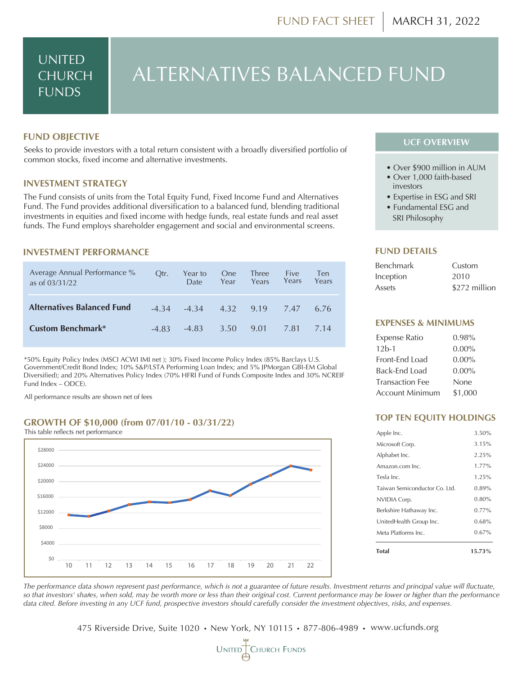### UNITED CHURCH FUNDS

# ALTERNATIVES BALANCED FUND

#### **FUND OBJECTIVE**

Seeks to provide investors with a total return consistent with a broadly diversified portfolio of common stocks, fixed income and alternative investments.

#### **INVESTMENT STRATEGY**

The Fund consists of units from the Total Equity Fund, Fixed Income Fund and Alternatives Fund. The Fund provides additional diversification to a balanced fund, blending traditional investments in equities and fixed income with hedge funds, real estate funds and real asset funds. The Fund employs shareholder engagement and social and environmental screens.

#### **INVESTMENT PERFORMANCE**

| Average Annual Performance %<br>as of 03/31/22 | Otr.  | Year to<br><b>Date</b>               | <b>One</b><br>Year | <b>Three</b><br>Years | Five<br>Years | Ten<br>Years |
|------------------------------------------------|-------|--------------------------------------|--------------------|-----------------------|---------------|--------------|
| <b>Alternatives Balanced Fund</b>              |       | $-4.34$ $-4.34$ $4.32$ $9.19$ $7.47$ |                    |                       |               | 6.76         |
| <b>Custom Benchmark*</b>                       | -4.83 | -4.83                                | 3.50               | 9.01                  | 7.81          | 714          |

\*50% Equity Policy Index (MSCI ACWI IMI net ); 30% Fixed Income Policy Index (85% Barclays U.S. Government/Credit Bond Index; 10% S&P/LSTA Performing Loan Index; and 5% JPMorgan GBI-EM Global Diversified); and 20% Alternatives Policy Index (70% HFRI Fund of Funds Composite Index and 30% NCREIF Fund Index – ODCE).

All performance results are shown net of fees

#### **GROWTH OF \$10,000 (from 07/01/10 - 03/31/22)**



#### **UCF OVERVIEW**

- Over \$900 million in AUM
- Over 1,000 faith-based investors
- Expertise in ESG and SRI
- Fundamental ESG and
- SRI Philosophy

#### **FUND DETAILS**

| <b>Benchmark</b> | Custom        |
|------------------|---------------|
| Inception        | 2010          |
| Assets           | \$272 million |

#### **EXPENSES & MINIMUMS**

| <b>Expense Ratio</b>   | $0.98\%$ |
|------------------------|----------|
| $12h-1$                | $0.00\%$ |
| Front-End Load         | $0.00\%$ |
| Back-End Load          | $0.00\%$ |
| <b>Transaction Fee</b> | None     |
| <b>Account Minimum</b> | \$1,000  |

#### **TOP TEN EQUITY HOLDINGS**

| $0.67\%$ |
|----------|
| 0.68%    |
| $0.77\%$ |
| 0.80%    |
| 0.89%    |
| 1.25%    |
| 1 77%    |
| 2.25%    |
| 3.15%    |
| 3.50%    |
|          |

*The performance data shown represent past performance, which is not a guarantee of future results. Investment returns and principal value will fluctuate, so that investors' shares, when sold, may be worth more or less than their original cost. Current performance may be lower or higher than the performance* ! *data cited. Before investing in any UCF fund, prospective investors should carefully consider the investment objectives, risks, and expenses.*

475 Riverside Drive, Suite 1020 **•** New York, NY 10115 **•** 877-806-4989 **•** www.ucfunds.org